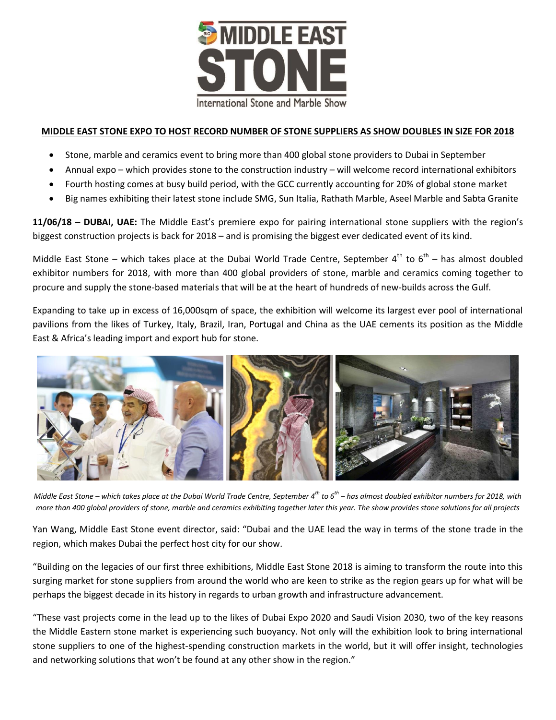

### **MIDDLE EAST STONE EXPO TO HOST RECORD NUMBER OF STONE SUPPLIERS AS SHOW DOUBLES IN SIZE FOR 2018**

- Stone, marble and ceramics event to bring more than 400 global stone providers to Dubai in September
- Annual expo which provides stone to the construction industry will welcome record international exhibitors
- Fourth hosting comes at busy build period, with the GCC currently accounting for 20% of global stone market
- Big names exhibiting their latest stone include SMG, Sun Italia, Rathath Marble, Aseel Marble and Sabta Granite

**11/06/18 – DUBAI, UAE:** The Middle East's premiere expo for pairing international stone suppliers with the region's biggest construction projects is back for 2018 – and is promising the biggest ever dedicated event of its kind.

Middle East Stone – which takes place at the Dubai World Trade Centre, September  $4^{th}$  to  $6^{th}$  – has almost doubled exhibitor numbers for 2018, with more than 400 global providers of stone, marble and ceramics coming together to procure and supply the stone-based materials that will be at the heart of hundreds of new-builds across the Gulf.

Expanding to take up in excess of 16,000sqm of space, the exhibition will welcome its largest ever pool of international pavilions from the likes of Turkey, Italy, Brazil, Iran, Portugal and China as the UAE cements its position as the Middle East & Africa's leading import and export hub for stone.



*Middle East Stone – which takes place at the Dubai World Trade Centre, September 4th to 6th – has almost doubled exhibitor numbers for 2018, with more than 400 global providers of stone, marble and ceramics exhibiting together later this year. The show provides stone solutions for all projects*

Yan Wang, Middle East Stone event director, said: "Dubai and the UAE lead the way in terms of the stone trade in the region, which makes Dubai the perfect host city for our show.

"Building on the legacies of our first three exhibitions, Middle East Stone 2018 is aiming to transform the route into this surging market for stone suppliers from around the world who are keen to strike as the region gears up for what will be perhaps the biggest decade in its history in regards to urban growth and infrastructure advancement.

"These vast projects come in the lead up to the likes of Dubai Expo 2020 and Saudi Vision 2030, two of the key reasons the Middle Eastern stone market is experiencing such buoyancy. Not only will the exhibition look to bring international stone suppliers to one of the highest-spending construction markets in the world, but it will offer insight, technologies and networking solutions that won't be found at any other show in the region."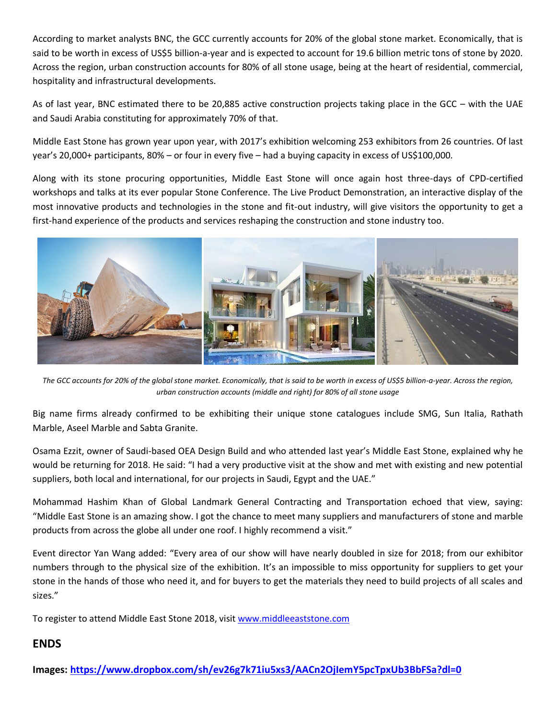According to market analysts BNC, the GCC currently accounts for 20% of the global stone market. Economically, that is said to be worth in excess of US\$5 billion-a-year and is expected to account for 19.6 billion metric tons of stone by 2020. Across the region, urban construction accounts for 80% of all stone usage, being at the heart of residential, commercial, hospitality and infrastructural developments.

As of last year, BNC estimated there to be 20,885 active construction projects taking place in the GCC – with the UAE and Saudi Arabia constituting for approximately 70% of that.

Middle East Stone has grown year upon year, with 2017's exhibition welcoming 253 exhibitors from 26 countries. Of last year's 20,000+ participants, 80% – or four in every five – had a buying capacity in excess of US\$100,000.

Along with its stone procuring opportunities, Middle East Stone will once again host three-days of CPD-certified workshops and talks at its ever popular Stone Conference. The Live Product Demonstration, an interactive display of the most innovative products and technologies in the stone and fit-out industry, will give visitors the opportunity to get a first-hand experience of the products and services reshaping the construction and stone industry too.



*The GCC accounts for 20% of the global stone market. Economically, that is said to be worth in excess of US\$5 billion-a-year. Across the region, urban construction accounts (middle and right) for 80% of all stone usage*

Big name firms already confirmed to be exhibiting their unique stone catalogues include SMG, Sun Italia, Rathath Marble, Aseel Marble and Sabta Granite.

Osama Ezzit, owner of Saudi-based OEA Design Build and who attended last year's Middle East Stone, explained why he would be returning for 2018. He said: "I had a very productive visit at the show and met with existing and new potential suppliers, both local and international, for our projects in Saudi, Egypt and the UAE."

Mohammad Hashim Khan of Global Landmark General Contracting and Transportation echoed that view, saying: "Middle East Stone is an amazing show. I got the chance to meet many suppliers and manufacturers of stone and marble products from across the globe all under one roof. I highly recommend a visit."

Event director Yan Wang added: "Every area of our show will have nearly doubled in size for 2018; from our exhibitor numbers through to the physical size of the exhibition. It's an impossible to miss opportunity for suppliers to get your stone in the hands of those who need it, and for buyers to get the materials they need to build projects of all scales and sizes."

To register to attend Middle East Stone 2018, visit [www.middleeaststone.com](http://www.middleeaststone.com/)

## **ENDS**

**Images:<https://www.dropbox.com/sh/ev26g7k71iu5xs3/AACn2OjIemY5pcTpxUb3BbFSa?dl=0>**